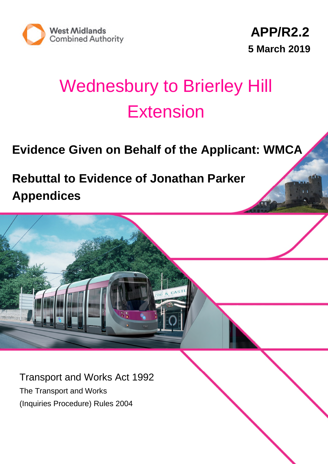

# Wednesbury to Brierley Hill **Extension**

## **Evidence Given on Behalf of the Applicant: WMCA**

**Rebuttal to Evidence of Jonathan Parker Appendices**

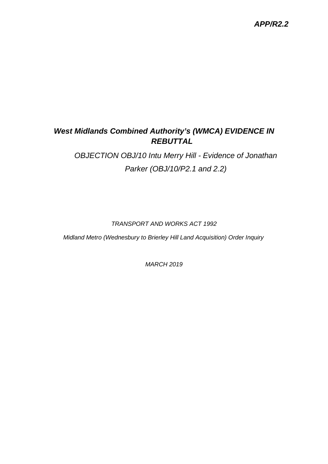### *APP/R2.2*

## *West Midlands Combined Authority's (WMCA) EVIDENCE IN REBUTTAL*

## *OBJECTION OBJ/10 Intu Merry Hill - Evidence of Jonathan Parker (OBJ/10/P2.1 and 2.2)*

#### *TRANSPORT AND WORKS ACT 1992*

*Midland Metro (Wednesbury to Brierley Hill Land Acquisition) Order Inquiry*

*MARCH 2019*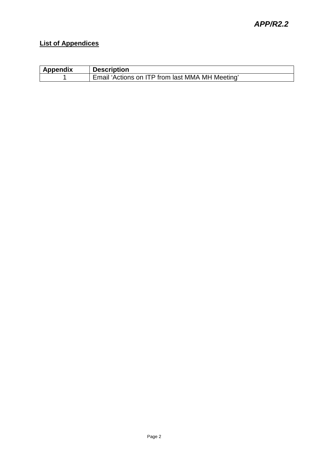## **List of Appendices**

| <b>Appendix</b> | <b>Description</b>                              |
|-----------------|-------------------------------------------------|
|                 | Email 'Actions on ITP from last MMA MH Meeting' |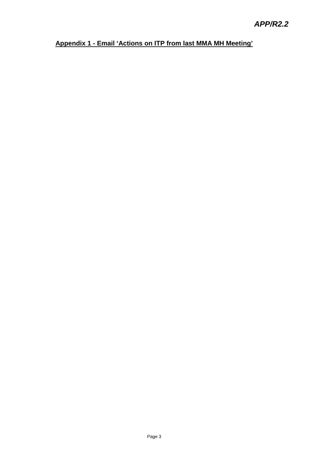## **Appendix 1 - Email 'Actions on ITP from last MMA MH Meeting'**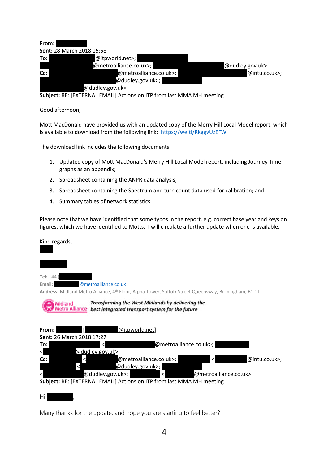

**Subject:** RE: [EXTERNAL EMAIL] Actions on ITP from last MMA MH meeting

Good afternoon,

Mott MacDonald have provided us with an updated copy of the Merry Hill Local Model report, which is available to download from the following link: https://we.tl/RkggvUzEFW

The download link includes the following documents:

- 1. Updated copy of Mott MacDonald's Merry Hill Local Model report, including Journey Time graphs as an appendix;
- 2. Spreadsheet containing the ANPR data analysis;
- 3. Spreadsheet containing the Spectrum and turn count data used for calibration; and
- 4. Summary tables of network statistics.

Please note that we have identified that some typos in the report, e.g. correct base year and keys on figures, which we have identified to Motts. I will circulate a further update when one is available.

Kind regards, **Tel:** +44 ( Email: **step://** @metroalliance.co.uk **Address:** Midland Metro Alliance, 4th Floor, Alpha Tower, Suffolk Street Queensway, Birmingham, B1 1TT Transforming the West Midlands by delivering the Midland Metro Alliance best integrated transport system for the future **From:**  $\begin{bmatrix} \end{bmatrix}$   $\begin{bmatrix} \end{bmatrix}$   $\begin{bmatrix} \end{bmatrix}$   $\begin{bmatrix} \end{bmatrix}$   $\begin{bmatrix} \end{bmatrix}$   $\begin{bmatrix} \end{bmatrix}$   $\begin{bmatrix} \end{bmatrix}$   $\begin{bmatrix} \end{bmatrix}$   $\begin{bmatrix} \end{bmatrix}$   $\begin{bmatrix} \end{bmatrix}$   $\begin{bmatrix} \end{bmatrix}$   $\begin{bmatrix} \end{bmatrix}$   $\begin{bmatrix} \end{bmatrix}$   $\begin{bmatrix} \end{bmatrix}$   $\begin{$ **Sent:** 26 March 2018 17:27 To: **Budhiraja, Himanshu <dualidated and Multiple and Multiple and Multiple and Multiple and Multiple and Multiple and Multiple and Multiple and Multiple and Multiple and Multiple and Multiple and Multiple and Multiple and** @dudley.gov.uk> Cc:  $\langle \text{Q}\rangle$  and  $\langle \text{Q}\rangle$  and  $\langle \text{Q}\rangle$  and  $\langle \text{Q}\rangle$  and  $\langle \text{Q}\rangle$  and  $\langle \text{Q}\rangle$  and  $\langle \text{Q}\rangle$  and  $\langle \text{Q}\rangle$  and  $\langle \text{Q}\rangle$  and  $\langle \text{Q}\rangle$  and  $\langle \text{Q}\rangle$  and  $\langle \text{Q}\rangle$  and  $\langle \text{Q}\rangle$  and  $\langle \text{Q}\rangle$  and  $\langle \text{Q}\$  $\leq$   $\qquad \qquad \textcircled{a}$  dudley.gov.uk>; @dudley.gov.uk>; Alternative Connection Connection (@metroalliance.co.uk> **Subject:** RE: [EXTERNAL EMAIL] Actions on ITP from last MMA MH meeting Hi Himanshu,

Many thanks for the update, and hope you are starting to feel better?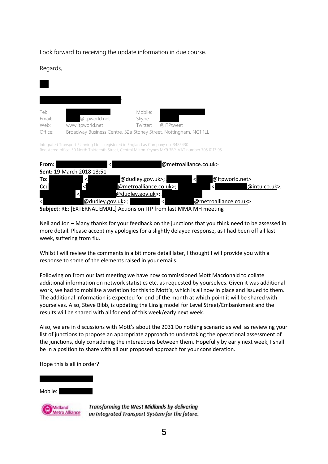Look forward to receiving the update information in due course.

Regards,

| Tel:    |                                                                  | Mobile:  |           |
|---------|------------------------------------------------------------------|----------|-----------|
| Email:  | @itpworld.net                                                    | Skype:   |           |
| Web:    | www.itpworld.net                                                 | Twitter: | @ITPtweet |
| Office: | Broadway Business Centre, 32a Stoney Street, Nottingham, NG1 1LL |          |           |

Integrated Transport Planning Ltd is registered in England as Company no. 3485430. Registered office: 50 North Thirteenth Street, Central Milton Keynes MK9 3BP. VAT number 705 0113 95.

| From: l |                                  | @metroalliance.co.uk> |                        |    |                       |               |  |
|---------|----------------------------------|-----------------------|------------------------|----|-----------------------|---------------|--|
|         | <b>Sent: 19 March 2018 13:51</b> |                       |                        |    |                       |               |  |
| To:     | ≺                                |                       | @dudley.gov.uk>;       | l< | @itpworld.net>        |               |  |
| Cc:     |                                  |                       | @metroalliance.co.uk>; |    |                       | @intu.co.uk>; |  |
|         |                                  | @dudley.gov.uk>;      |                        |    |                       |               |  |
|         |                                  | @dudley.gov.uk>;      | ≺                      |    | @metroalliance.co.uk> |               |  |
|         |                                  |                       | $- - -$                |    |                       |               |  |

**Subject:** RE: [EXTERNAL EMAIL] Actions on ITP from last MMA MH meeting

Neil and Jon – Many thanks for your feedback on the junctions that you think need to be assessed in more detail. Please accept my apologies for a slightly delayed response, as I had been off all last week, suffering from flu.

Whilst I will review the comments in a bit more detail later, I thought I will provide you with a response to some of the elements raised in your emails.

Following on from our last meeting we have now commissioned Mott Macdonald to collate additional information on network statistics etc. as requested by yourselves. Given it was additional work, we had to mobilise a variation for this to Mott's, which is all now in place and issued to them. The additional information is expected for end of the month at which point it will be shared with yourselves. Also, Steve Bibb, is updating the Linsig model for Level Street/Embankment and the results will be shared with all for end of this week/early next week.

Also, we are in discussions with Mott's about the 2031 Do nothing scenario as well as reviewing your list of junctions to propose an appropriate approach to undertaking the operational assessment of the junctions, duly considering the interactions between them. Hopefully by early next week, I shall be in a position to share with all our proposed approach for your consideration.

Hope this is all in order?

Mobile:



**Transforming the West Midlands by delivering** an Integrated Transport System for the future.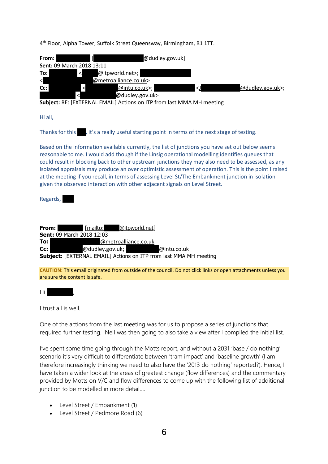4<sup>th</sup> Floor, Alpha Tower, Suffolk Street Queensway, Birmingham, B1 1TT.

| From:<br>@dudley.gov.uk]<br>Sent: 09 March 2018 13:11<br>To:<br>@itpworld.net>;<br>$\prec$<br>⊲<br>@metroalliance.co.uk><br>$\,<$<br>@dudley.gov.uk>;<br>Cc:<br>@intu.co.u <u>k</u> >;<br>$\triangleleft$<br>@dudley.gov.uk><br>Subject: RE: [EXTERNAL EMAIL] Actions on ITP from last MMA MH meeting                                                                                                                                                                                                                                                                                                    |
|----------------------------------------------------------------------------------------------------------------------------------------------------------------------------------------------------------------------------------------------------------------------------------------------------------------------------------------------------------------------------------------------------------------------------------------------------------------------------------------------------------------------------------------------------------------------------------------------------------|
| Hi all,                                                                                                                                                                                                                                                                                                                                                                                                                                                                                                                                                                                                  |
| Thanks for this , it's a really useful starting point in terms of the next stage of testing.                                                                                                                                                                                                                                                                                                                                                                                                                                                                                                             |
| Based on the information available currently, the list of junctions you have set out below seems<br>reasonable to me. I would add though if the Linsig operational modelling identifies queues that<br>could result in blocking back to other upstream junctions they may also need to be assessed, as any<br>isolated appraisals may produce an over optimistic assessment of operation. This is the point I raised<br>at the meeting if you recall, in terms of assessing Level St/The Embankment junction in isolation<br>given the observed interaction with other adjacent signals on Level Street. |
| Regards,                                                                                                                                                                                                                                                                                                                                                                                                                                                                                                                                                                                                 |
|                                                                                                                                                                                                                                                                                                                                                                                                                                                                                                                                                                                                          |
| From:<br>[mailto:<br>@itpworld.net]<br>Sent: 09 March 2018 12:03<br>To:<br>@metroalliance.co.uk<br>Cc:<br>@dudley.gov.uk;<br>@intu.co.uk<br>Subject: [EXTERNAL EMAIL] Actions on ITP from last MMA MH meeting                                                                                                                                                                                                                                                                                                                                                                                            |
| CAUTION: This email originated from outside of the council. Do not click links or open attachments unless you<br>are sure the content is safe.                                                                                                                                                                                                                                                                                                                                                                                                                                                           |
|                                                                                                                                                                                                                                                                                                                                                                                                                                                                                                                                                                                                          |

Hi Himanshu,

I trust all is well.

One of the actions from the last meeting was for us to propose a series of junctions that required further testing. Neil was then going to also take a view after I compiled the initial list.

I've spent some time going through the Motts report, and without a 2031 'base / do nothing' scenario it's very difficult to differentiate between 'tram impact' and 'baseline growth' (I am therefore increasingly thinking we need to also have the '2013 do nothing' reported?). Hence, I have taken a wider look at the areas of greatest change (flow differences) and the commentary provided by Motts on V/C and flow differences to come up with the following list of additional junction to be modelled in more detail….

- Level Street / Embankment (1)
- Level Street / Pedmore Road (6)